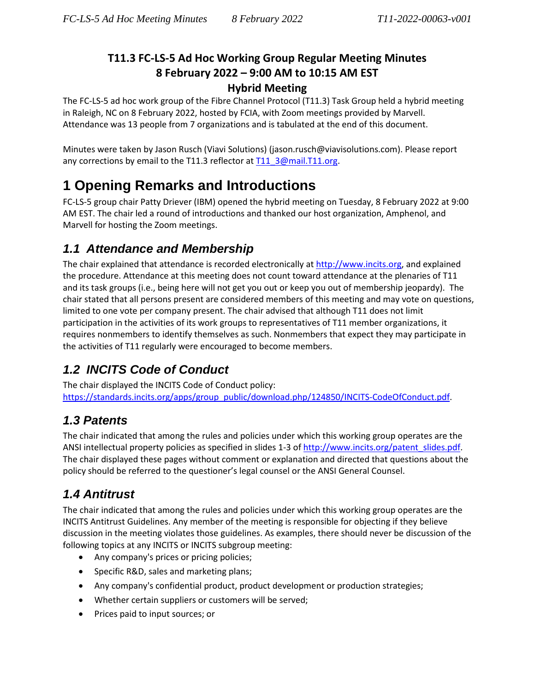### **T11.3 FC-LS-5 Ad Hoc Working Group Regular Meeting Minutes 8 February 2022 – 9:00 AM to 10:15 AM EST Hybrid Meeting**

The FC-LS-5 ad hoc work group of the Fibre Channel Protocol (T11.3) Task Group held a hybrid meeting in Raleigh, NC on 8 February 2022, hosted by FCIA, with Zoom meetings provided by Marvell. Attendance was 13 people from 7 organizations and is tabulated at the end of this document.

Minutes were taken by Jason Rusch (Viavi Solutions) (jason.rusch@viavisolutions.com). Please report any corrections by email to the T11.3 reflector at [T11\\_3@mail.T11.org.](mailto:T11_3@mail.T11.org)

# **1 Opening Remarks and Introductions**

FC-LS-5 group chair Patty Driever (IBM) opened the hybrid meeting on Tuesday, 8 February 2022 at 9:00 AM EST. The chair led a round of introductions and thanked our host organization, Amphenol, and Marvell for hosting the Zoom meetings.

## *1.1 Attendance and Membership*

The chair explained that attendance is recorded electronically at [http://www.incits.org,](http://www.incits.org/) and explained the procedure. Attendance at this meeting does not count toward attendance at the plenaries of T11 and its task groups (i.e., being here will not get you out or keep you out of membership jeopardy). The chair stated that all persons present are considered members of this meeting and may vote on questions, limited to one vote per company present. The chair advised that although T11 does not limit participation in the activities of its work groups to representatives of T11 member organizations, it requires nonmembers to identify themselves as such. Nonmembers that expect they may participate in the activities of T11 regularly were encouraged to become members.

## *1.2 INCITS Code of Conduct*

The chair displayed the INCITS Code of Conduct policy: [https://standards.incits.org/apps/group\\_public/download.php/124850/INCITS-CodeOfConduct.pdf.](https://standards.incits.org/apps/group_public/download.php/124850/eb-2020-00772-INCITS%20Code%20of%20Conduct.pdf)

### *1.3 Patents*

The chair indicated that among the rules and policies under which this working group operates are the ANSI intellectual property policies as specified in slides 1-3 of [http://www.incits.org/patent\\_slides.pdf.](http://www.incits.org/dotAsset/63b6e457-53b9-4933-9835-7c74e77ca2fd.pdf) The chair displayed these pages without comment or explanation and directed that questions about the policy should be referred to the questioner's legal counsel or the ANSI General Counsel.

## *1.4 Antitrust*

The chair indicated that among the rules and policies under which this working group operates are the INCITS Antitrust Guidelines. Any member of the meeting is responsible for objecting if they believe discussion in the meeting violates those guidelines. As examples, there should never be discussion of the following topics at any INCITS or INCITS subgroup meeting:

- Any company's prices or pricing policies;
- Specific R&D, sales and marketing plans;
- Any company's confidential product, product development or production strategies;
- Whether certain suppliers or customers will be served;
- Prices paid to input sources; or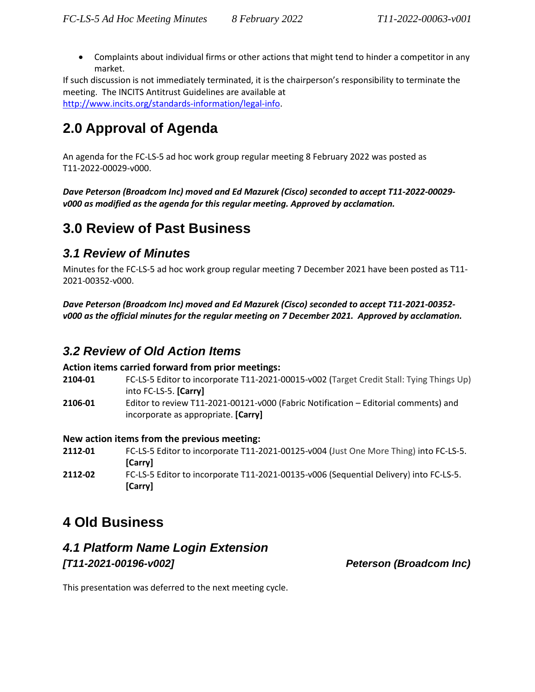• Complaints about individual firms or other actions that might tend to hinder a competitor in any market.

If such discussion is not immediately terminated, it is the chairperson's responsibility to terminate the meeting. The INCITS Antitrust Guidelines are available at [http://www.incits.org/standards-information/legal-info.](http://www.incits.org/standards-information/legal-info)

# **2.0 Approval of Agenda**

An agenda for the FC-LS-5 ad hoc work group regular meeting 8 February 2022 was posted as T11-2022-00029-v000.

*Dave Peterson (Broadcom Inc) moved and Ed Mazurek (Cisco) seconded to accept T11-2022-00029 v000 as modified as the agenda for this regular meeting. Approved by acclamation.*

## **3.0 Review of Past Business**

### *3.1 Review of Minutes*

Minutes for the FC-LS-5 ad hoc work group regular meeting 7 December 2021 have been posted as T11- 2021-00352-v000.

*Dave Peterson (Broadcom Inc) moved and Ed Mazurek (Cisco) seconded to accept T11-2021-00352 v000 as the official minutes for the regular meeting on 7 December 2021. Approved by acclamation.*

### *3.2 Review of Old Action Items*

#### **Action items carried forward from prior meetings:**

- **2104-01** FC-LS-5 Editor to incorporate T11-2021-00015-v002 (Target Credit Stall: Tying Things Up) into FC-LS-5. **[Carry] 2106-01** Editor to review T11-2021-00121-v000 (Fabric Notification – Editorial comments) and
	- incorporate as appropriate. **[Carry]**

#### **New action items from the previous meeting:**

- **2112-01** FC-LS-5 Editor to incorporate T11-2021-00125-v004 (Just One More Thing) into FC-LS-5. **[Carry]**
- **2112-02** FC-LS-5 Editor to incorporate T11-2021-00135-v006 (Sequential Delivery) into FC-LS-5. **[Carry]**

## **4 Old Business**

### *4.1 Platform Name Login Extension [T11-2021-00196-v002] Peterson (Broadcom Inc)*

This presentation was deferred to the next meeting cycle.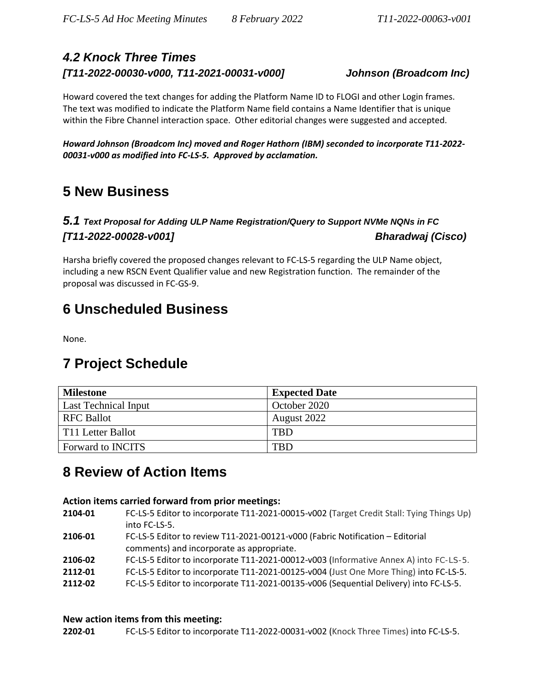## *4.2 Knock Three Times [T11-2022-00030-v000, T11-2021-00031-v000] Johnson (Broadcom Inc)*

Howard covered the text changes for adding the Platform Name ID to FLOGI and other Login frames. The text was modified to indicate the Platform Name field contains a Name Identifier that is unique within the Fibre Channel interaction space. Other editorial changes were suggested and accepted.

*Howard Johnson (Broadcom Inc) moved and Roger Hathorn (IBM) seconded to incorporate T11-2022- 00031-v000 as modified into FC-LS-5. Approved by acclamation.*

## **5 New Business**

#### *5.1 Text Proposal for Adding ULP Name Registration/Query to Support NVMe NQNs in FC [T11-2022-00028-v001] Bharadwaj (Cisco)*

Harsha briefly covered the proposed changes relevant to FC-LS-5 regarding the ULP Name object, including a new RSCN Event Qualifier value and new Registration function. The remainder of the proposal was discussed in FC-GS-9.

## **6 Unscheduled Business**

None.

# **7 Project Schedule**

| <b>Milestone</b>            | <b>Expected Date</b> |
|-----------------------------|----------------------|
| <b>Last Technical Input</b> | October 2020         |
| <b>RFC Ballot</b>           | August 2022          |
| T11 Letter Ballot           | <b>TBD</b>           |
| <b>Forward to INCITS</b>    | TBD                  |

## **8 Review of Action Items**

#### **Action items carried forward from prior meetings:**

| 2104-01 | FC-LS-5 Editor to incorporate T11-2021-00015-v002 (Target Credit Stall: Tying Things Up) |  |  |
|---------|------------------------------------------------------------------------------------------|--|--|
|         | into FC-LS-5.                                                                            |  |  |
| 2106-01 | FC-LS-5 Editor to review T11-2021-00121-v000 (Fabric Notification - Editorial            |  |  |
|         | comments) and incorporate as appropriate.                                                |  |  |

- **2106-02** FC-LS-5 Editor to incorporate T11-2021-00012-v003 (Informative Annex A) into FC-LS-5.
- **2112-01** FC-LS-5 Editor to incorporate T11-2021-00125-v004 (Just One More Thing) into FC-LS-5.
- **2112-02** FC-LS-5 Editor to incorporate T11-2021-00135-v006 (Sequential Delivery) into FC-LS-5.

#### **New action items from this meeting:**

**2202-01** FC-LS-5 Editor to incorporate T11-2022-00031-v002 (Knock Three Times) into FC-LS-5.